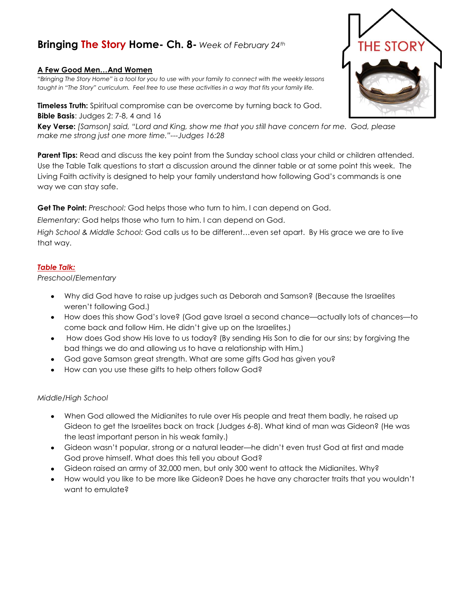## **Bringing The Story Home- Ch. 8-** *Week of February 24th*

## **A Few Good Men…And Women**

*"Bringing The Story Home" is a tool for you to use with your family to connect with the weekly lessons taught in "The Story" curriculum. Feel free to use these activities in a way that fits your family life.* 

**Timeless Truth:** Spiritual compromise can be overcome by turning back to God. **Bible Basis**: Judges 2: 7-8, 4 and 16

**Key Verse:** *[Samson] said, "Lord and King, show me that you still have concern for me. God, please make me strong just one more time."---Judges 16:28*

**Parent Tips:** Read and discuss the key point from the Sunday school class your child or children attended. Use the Table Talk questions to start a discussion around the dinner table or at some point this week. The Living Faith activity is designed to help your family understand how following God's commands is one way we can stay safe.

**Get The Point:** *Preschool:* God helps those who turn to him. I can depend on God.

*Elementary:* God helps those who turn to him. I can depend on God.

*High School & Middle School:* God calls us to be different…even set apart. By His grace we are to live that way.

## *Table Talk:*

*Preschool/Elementary*

- Why did God have to raise up judges such as Deborah and Samson? (Because the Israelites weren't following God.)
- How does this show God's love? (God gave Israel a second chance—actually lots of chances—to come back and follow Him. He didn't give up on the Israelites.)
- How does God show His love to us today? (By sending His Son to die for our sins; by forgiving the bad things we do and allowing us to have a relationship with Him.)
- God gave Samson great strength. What are some gifts God has given you?
- How can you use these gifts to help others follow God?

## *Middle/High School*

- When God allowed the Midianites to rule over His people and treat them badly, he raised up Gideon to get the Israelites back on track (Judges 6-8). What kind of man was Gideon? (He was the least important person in his weak family.)
- Gideon wasn't popular, strong or a natural leader—he didn't even trust God at first and made God prove himself. What does this tell you about God?
- Gideon raised an army of 32,000 men, but only 300 went to attack the Midianites. Why?
- How would you like to be more like Gideon? Does he have any character traits that you wouldn't want to emulate?